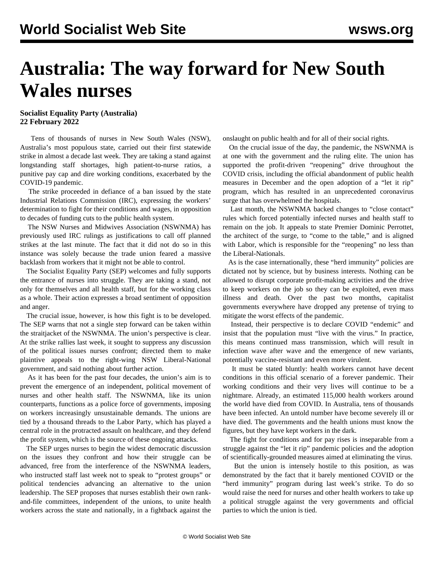# **Australia: The way forward for New South Wales nurses**

### **Socialist Equality Party (Australia) 22 February 2022**

 Tens of thousands of nurses in New South Wales (NSW), Australia's most populous state, carried out their first statewide strike in almost a decade last week. They are taking a stand against longstanding staff shortages, high patient-to-nurse ratios, a punitive pay cap and dire working conditions, exacerbated by the COVID-19 pandemic.

 The strike proceeded in defiance of a ban issued by the state Industrial Relations Commission (IRC), expressing the workers' determination to fight for their conditions and wages, in opposition to decades of funding cuts to the public health system.

 The NSW Nurses and Midwives Association (NSWNMA) has previously used IRC rulings as justifications to call off planned strikes at the last minute. The fact that it did not do so in this instance was solely because the trade union feared a massive backlash from workers that it might not be able to control.

 The Socialist Equality Party (SEP) welcomes and fully supports the entrance of nurses into struggle. They are taking a stand, not only for themselves and all health staff, but for the working class as a whole. Their action expresses a broad sentiment of opposition and anger.

 The crucial issue, however, is how this fight is to be developed. The SEP warns that not a single step forward can be taken within the straitjacket of the NSWNMA. The union's perspective is clear. At the strike rallies last week, it sought to suppress any discussion of the political issues nurses confront; directed them to make plaintive appeals to the right-wing NSW Liberal-National government, and said nothing about further action.

 As it has been for the past four decades, the union's aim is to prevent the emergence of an independent, political movement of nurses and other health staff. The NSWNMA, like its union counterparts, functions as a police force of governments, imposing on workers increasingly unsustainable demands. The unions are tied by a thousand threads to the Labor Party, which has played a central role in the protracted assault on healthcare, and they defend the profit system, which is the source of these ongoing attacks.

 The SEP urges nurses to begin the widest democratic discussion on the issues they confront and how their struggle can be advanced, free from the interference of the NSWNMA leaders, who instructed staff last week not to speak to "protest groups" or political tendencies advancing an alternative to the union leadership. The SEP proposes that nurses establish their own rankand-file committees, independent of the unions, to unite health workers across the state and nationally, in a fightback against the onslaught on public health and for all of their social rights.

 On the crucial issue of the day, the pandemic, the NSWNMA is at one with the government and the ruling elite. The union has supported the profit-driven "reopening" drive throughout the COVID crisis, including the official abandonment of public health measures in December and the open adoption of a "let it rip" program, which has resulted in an unprecedented coronavirus surge that has overwhelmed the hospitals.

 Last month, the NSWNMA backed changes to "close contact" rules which forced potentially infected nurses and health staff to remain on the job. It appeals to state Premier Dominic Perrottet, the architect of the surge, to "come to the table," and is aligned with Labor, which is responsible for the "reopening" no less than the Liberal-Nationals.

 As is the case internationally, these "herd immunity" policies are dictated not by science, but by business interests. Nothing can be allowed to disrupt corporate profit-making activities and the drive to keep workers on the job so they can be exploited, even mass illness and death. Over the past two months, capitalist governments everywhere have dropped any pretense of trying to mitigate the worst effects of the pandemic.

 Instead, their perspective is to declare COVID "endemic" and insist that the population must "live with the virus." In practice, this means continued mass transmission, which will result in infection wave after wave and the emergence of new variants, potentially vaccine-resistant and even more virulent.

 It must be stated bluntly: health workers cannot have decent conditions in this official scenario of a forever pandemic. Their working conditions and their very lives will continue to be a nightmare. Already, an estimated 115,000 health workers around the world have died from COVID. In Australia, tens of thousands have been infected. An untold number have become severely ill or have died. The governments and the health unions must know the figures, but they have kept workers in the dark.

 The fight for conditions and for pay rises is inseparable from a struggle against the "let it rip" pandemic policies and the adoption of scientifically-grounded measures aimed at eliminating the virus.

 But the union is intensely hostile to this position, as was demonstrated by the fact that it barely mentioned COVID or the "herd immunity" program during last week's strike. To do so would raise the need for nurses and other health workers to take up a political struggle against the very governments and official parties to which the union is tied.